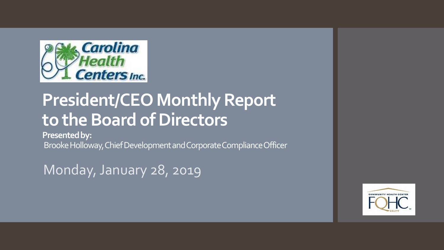

# **President/CEO Monthly Report to the Board of Directors**

**Presented by:**

Brooke Holloway, Chief Development and Corporate Compliance Officer

Monday, January 28, 2019

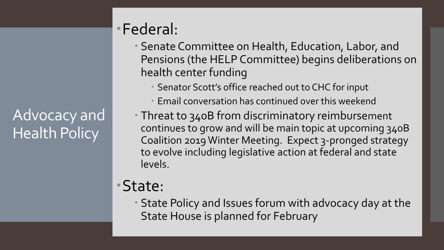Advocacy and Health Policy

### Federal:

- Senate Committee on Health, Education, Labor, and Pensions (the HELP Committee) begins deliberations on health center funding
	- Senator Scott's office reached out to CHC for input
	- Email conversation has continued over this weekend
- Threat to 340B from discriminatory reimbursement continues to grow and will be main topic at upcoming 340B Coalition 2019 Winter Meeting. Expect 3-pronged strategy to evolve including legislative action at federal and state levels.

## State:

 State Policy and Issues forum with advocacy day at the State House is planned for February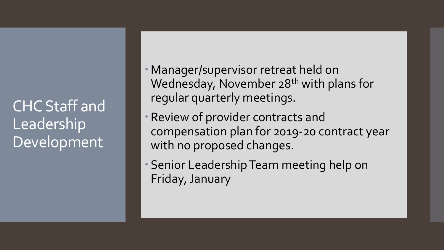CHC Staff and Leadership Development

 Manager/supervisor retreat held on Wednesday, November 28<sup>th</sup> with plans for regular quarterly meetings.

- Review of provider contracts and compensation plan for 2019-20 contract year with no proposed changes.
- Senior Leadership Team meeting help on Friday, January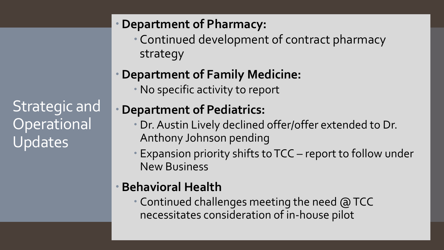Strategic and **Operational** Updates

#### **Department of Pharmacy:**

 Continued development of contract pharmacy strategy

#### **Department of Family Medicine:**

No specific activity to report

#### **Department of Pediatrics:**

- Dr. Austin Lively declined offer/offer extended to Dr. Anthony Johnson pending
- Expansion priority shifts to TCC report to follow under New Business

#### **Behavioral Health**

 Continued challenges meeting the need @ TCC necessitates consideration of in-house pilot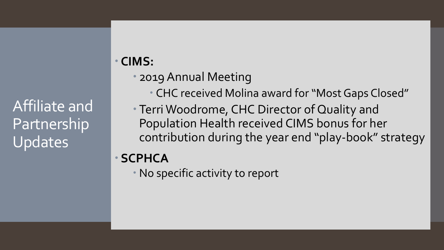Affiliate and Partnership Updates

### **CIMS:**

- 2019 Annual Meeting
	- CHC received Molina award for "Most Gaps Closed"
- Terri Woodrome, CHC Director of Quality and Population Health received CIMS bonus for her contribution during the year end "play-book" strategy

#### **SCPHCA**

No specific activity to report